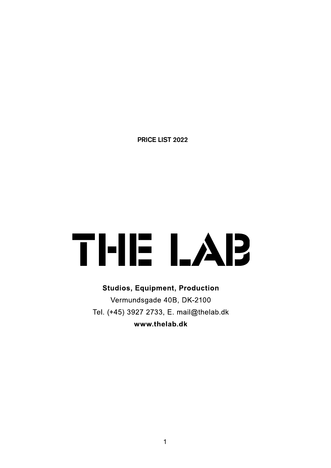**PRICE LIST 2022**

## THE LAB

**Studios, Equipment, Production** Vermundsgade 40B, DK-2100 Tel. (+45) 3927 2733, E. mail@thelab.dk www.thelab.dk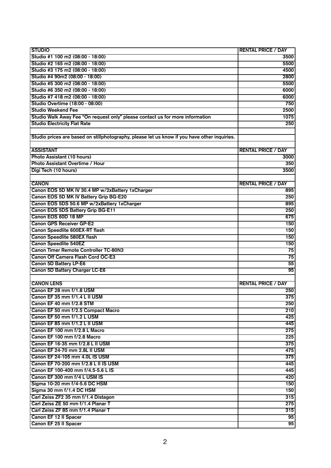| <b>STUDIO</b>                                                                                | <b>RENTAL PRICE / DAY</b> |
|----------------------------------------------------------------------------------------------|---------------------------|
| Studio #1 100 m2 (08:00 - 18:00)                                                             | 3500                      |
| Studio #2 165 m2 (08:00 - 18:00)                                                             | 5500                      |
| Studio #3 175 m2 (08:00 - 18:00)                                                             | 4500                      |
| Studio #4 90m2 (08:00 - 18:00)                                                               | 2800                      |
| Studio #5 300 m2 (08:00 - 18:00)                                                             | 5500                      |
| Studio #6 350 m2 (08:00 - 18:00)                                                             | 6000                      |
| Studio #7 418 m2 (08:00 - 18:00)                                                             | 6000                      |
| Studio Overtime (18:00 - 08:00)                                                              | 750                       |
| <b>Studio Weekend Fee</b>                                                                    | 2500                      |
| Studio Walk Away Fee "On request only" please contact us for more information                | 1075                      |
| <b>Studio Electricity Flat Rate</b>                                                          | 250                       |
|                                                                                              |                           |
| Studio prices are based on stillphotography, please let us know if you have other inquiries. |                           |
|                                                                                              |                           |
| <b>ASSISTANT</b>                                                                             | <b>RENTAL PRICE / DAY</b> |
| Photo Assistant (10 hours)                                                                   | 3000                      |
| Photo Assistant Overtime / Hour                                                              | 350                       |
| Digi Tech (10 hours)                                                                         | 3500                      |
|                                                                                              |                           |
| <b>CANON</b>                                                                                 | <b>RENTAL PRICE / DAY</b> |
| Canon EOS 5D MK IV 30.4 MP w/2xBattery 1xCharger                                             | 895                       |
| Canon EOS 5D MK IV Battery Grip BG-E20                                                       | 250                       |
| Canon EOS 5DS 50.6 MP w/2xBattery 1xCharger                                                  | 895                       |
| Canon EOS 5DS Battery Grip BG-E11                                                            | 250                       |
| Canon EOS 60D 18 MP                                                                          | 675                       |
| <b>Canon GPS Receiver GP-E2</b>                                                              | 150                       |
| Canon Speedlite 600EX-RT flash                                                               | 150                       |
| <b>Canon Speedlite 580EX flash</b>                                                           | 150                       |
| <b>Canon Speedlite 540EZ</b>                                                                 | 150                       |
| <b>Canon Timer Remote Controller TC-80N3</b>                                                 | 75                        |
| Canon Off Camera Flash Cord OC-E3                                                            | 75                        |
| <b>Canon 5D Battery LP-E6</b>                                                                | 55                        |
| Canon 5D Battery Charger LC-E6                                                               | 95                        |
|                                                                                              |                           |
| <b>CANON LENS</b>                                                                            | <b>RENTAL PRICE / DAY</b> |
| Canon EF 28 mm f/1.8 USM                                                                     | 250                       |
| Canon EF 35 mm f/1.4 L II USM                                                                | $\overline{375}$          |
| Canon EF 40 mm f/2.8 STM                                                                     | 250                       |
| Canon EF 50 mm f/2.5 Compact Macro                                                           | 210                       |
| Canon EF 50 mm f/1.2 L USM                                                                   | 425                       |
| Canon EF 85 mm f/1.2 L II USM                                                                | 445                       |
| Canon EF 100 mm f/2.8 L Macro                                                                | 275                       |
| Canon EF 100 mm f/2.8 Macro                                                                  | 225                       |
| Canon EF 16-35 mm f/2.8 L II USM                                                             | 375                       |
| Canon EF 24-70 mm 2.8L II USM                                                                | 475                       |
| Canon EF 24-105 mm 4.0L IS USM                                                               | 375                       |
| Canon EF 70-200 mm f/2.8 L II IS USM                                                         | 445                       |
| Canon EF 100-400 mm f/4.5-5.6 L IS<br>Canon EF 300 mm f/4 L USM IS                           | 445                       |
|                                                                                              | 420                       |
| Sigma 10-20 mm f/4-5.6 DC HSM<br>Sigma 30 mm f/1.4 DC HSM                                    | 150<br>150                |
| Carl Zeiss ZF2 35 mm f/1.4 Distagon                                                          | 315                       |
| Carl Zeiss ZE 50 mm f/1.4 Planar T                                                           | 275                       |
| Carl Zeiss ZF 85 mm f/1.4 Planar T                                                           | 315                       |
| <b>Canon EF 12 II Spacer</b>                                                                 | 95                        |
| <b>Canon EF 25 II Spacer</b>                                                                 | 95                        |
|                                                                                              |                           |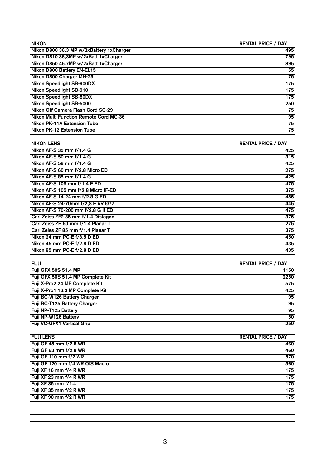| <b>NIKON</b>                             | <b>RENTAL PRICE / DAY</b> |
|------------------------------------------|---------------------------|
| Nikon D800 36.3 MP w/2xBattery 1xCharger | 495                       |
| Nikon D810 36,3MP w/2xBatt 1xCharger     | 795                       |
| Nikon D850 45.7MP w/2xBatt 1xCharger     | 895                       |
| Nikon D800 Battery EN-EL15               | 55                        |
| Nikon D800 Charger MH-25                 | 75                        |
| <b>Nikon Speedlight SB-900DX</b>         | 175                       |
| <b>Nikon Speedlight SB-910</b>           | 175                       |
| <b>Nikon Speedlight SB-80DX</b>          | 175                       |
| <b>Nikon Speedlight SB-5000</b>          | 250                       |
| Nikon Off Camera Flash Cord SC-29        | 75                        |
| Nikon Multi Function Remote Cord MC-36   | 95                        |
| <b>Nikon PK-11A Extension Tube</b>       | 75                        |
| <b>Nikon PK-12 Extension Tube</b>        | 75                        |
|                                          |                           |
| <b>NIKON LENS</b>                        | <b>RENTAL PRICE / DAY</b> |
| Nikon AF-S 35 mm f/1.4 G                 | 425                       |
| Nikon AF-S 50 mm f/1.4 G                 | 315                       |
| Nikon AF-S 58 mm f/1.4 G                 | 425                       |
| Nikon AF-S 60 mm f/2.8 Micro ED          | 275                       |
| Nikon AF-S 85 mm f/1.4 G                 | 425                       |
| Nikon AF-S 105 mm f/1.4 E ED             | 475                       |
| Nikon AF-S 105 mm f/2.8 Micro IF-ED      | 375                       |
| Nikon AF-S 14-24 mm f/2.8 G ED           | 455                       |
| Nikon AF-S 24-70mm f/2,8 E VR Ø77        | 445                       |
| Nikon AF-S 70-200 mm f/2.8 G II ED       | 475                       |
| Carl Zeiss ZF2 35 mm f/1.4 Distagon      | 375                       |
| Carl Zeiss ZE 50 mm f/1.4 Planar T       | 275                       |
| Carl Zeiss ZF 85 mm f/1.4 Planar T       | 375                       |
| Nikon 24 mm PC-E f/3.5 D ED              |                           |
| Nikon 45 mm PC-E f/2.8 D ED              | 450                       |
| Nikon 85 mm PC-E f/2.8 D ED              | 435<br>435                |
|                                          |                           |
| <b>FUJI</b>                              | <b>RENTAL PRICE / DAY</b> |
| <b>Fuji GFX 50S 51.4 MP</b>              | 1150                      |
| Fuji GFX 50S 51.4 MP Complete Kit        | 2250                      |
| Fuji X-Pro2 24 MP Complete Kit           | 575                       |
| Fuji X-Pro1 16.3 MP Complete Kit         | 425                       |
| Fuji BC-W126 Battery Charger             | 95                        |
| Fuji BC-T125 Battery Charger             | 95                        |
| Fuji NP-T125 Battery                     |                           |
| Fuji NP-W126 Battery                     | $\overline{95}$           |
|                                          | 50                        |
| <b>Fuji VC-GFX1 Vertical Grip</b>        | 250                       |
| <b>FUJI LENS</b>                         |                           |
| Fuji GF 45 mm f/2.8 WR                   | <b>RENTAL PRICE / DAY</b> |
|                                          | 460                       |
| Fuji GF 63 mm f/2.8 WR                   | 460                       |
| Fuji GF 110 mm f/2 WR                    | 570                       |
| Fuji GF 120 mm f/4 WR OIS Macro          | 560                       |
| Fuji XF 16 mm f/4 R WR                   | $\overline{175}$          |
| Fuji XF 23 mm f/4 R WR                   | 175                       |
| Fuji XF 35 mm f/1.4                      | 175                       |
| Fuji XF 35 mm f/2 R WR                   | 175                       |
| Fuji XF 90 mm f/2 R WR                   | 175                       |
|                                          |                           |
|                                          |                           |
|                                          |                           |
|                                          |                           |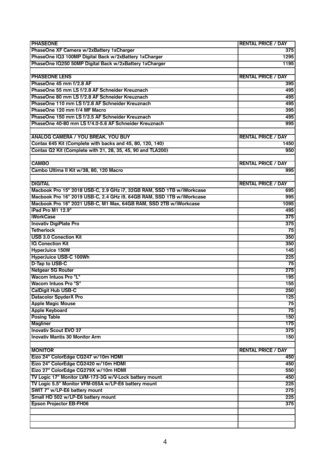| <b>PHASEONE</b>                                                       | <b>RENTAL PRICE / DAY</b> |
|-----------------------------------------------------------------------|---------------------------|
| PhaseOne XF Camera w/2xBattery 1xCharger                              | 375                       |
| PhaseOne IQ3 100MP Digital Back w/2xBattery 1xCharger                 | 1295                      |
| PhaseOne IQ250 50MP Digital Back w/2xBattery 1xCharger                | 1195                      |
|                                                                       |                           |
| <b>PHASEONE LENS</b>                                                  | <b>RENTAL PRICE / DAY</b> |
| PhaseOne 45 mm f/2.8 AF                                               | 395                       |
| PhaseOne 55 mm LS f/2.8 AF Schneider Kreuznach                        | 495                       |
| PhaseOne 80 mm LS f/2.8 AF Schneider Kreuznach                        | 495                       |
| PhaseOne 110 mm LS f/2.8 AF Schneider Kreuznach                       | 495                       |
| PhaseOne 120 mm f/4 MF Macro                                          | 395                       |
| PhaseOne 150 mm LS f/3.5 AF Schneider Kreuznach                       | 495                       |
| PhaseOne 40-80 mm LS f/4.0-5.6 AF Schneider Kreuznach                 | 995                       |
|                                                                       |                           |
| <b>ANALOG CAMERA / YOU BREAK, YOU BUY</b>                             | <b>RENTAL PRICE / DAY</b> |
| Contax 645 Kit (Complete with backs and 45, 80, 120, 140)             | 1450                      |
| Contax G2 Kit (Complete with 21, 28, 35, 45, 90 and TLA200)           | 950                       |
|                                                                       |                           |
| <b>CAMBO</b>                                                          | <b>RENTAL PRICE / DAY</b> |
| Cambo Ultima II Kit w/38, 80, 120 Macro                               | 995                       |
|                                                                       |                           |
| <b>DIGITAL</b>                                                        | <b>RENTAL PRICE / DAY</b> |
| Macbook Pro 15" 2018 USB-C, 2.9 GHz i7, 32GB RAM, SSD 1TB w/iWorkcase | 695                       |
| Macbook Pro 16" 2019 USB-C, 2.4 GHz i9, 64GB RAM, SSD 1TB w/iWorkcase | 995                       |
| Macbook Pro 16" 2021 USB-C, M1 Max, 64GB RAM, SSD 2TB w/iWorkcase     | 1095                      |
| iPad Pro M1 12.9"                                                     | 495                       |
| <b>iWorkCase</b>                                                      | 375                       |
| <b>Inovativ DigiPlate Pro</b>                                         | 375                       |
| <b>Tetherlock</b>                                                     | 75                        |
| <b>USB 3.0 Conection Kit</b>                                          | 350                       |
| <b>IQ Conection Kit</b>                                               | 350                       |
| HyperJuice 150W                                                       | 145                       |
| <b>HyperJuice USB-C 100Wh</b>                                         | 225                       |
| D-Tap to USB-C                                                        | 75                        |
| Netgear 5G Router                                                     | 275                       |
| Wacom Intuos Pro "L"                                                  | 195                       |
| Wacom Intuos Pro "S"                                                  | 155                       |
| CalDigit Hub USB-C                                                    | 250                       |
| <b>Datacolor SpyderX Pro</b>                                          | 125                       |
| <b>Apple Magic Mouse</b>                                              | 75                        |
| <b>Apple Keyboard</b>                                                 | 75                        |
| <b>Posing Table</b>                                                   | 150                       |
| <b>Magliner</b>                                                       | 175                       |
| <b>Inovativ Scout EVO 37</b>                                          | 375                       |
| <b>Inovativ Mantis 30 Monitor Arm</b>                                 | 150                       |
|                                                                       |                           |
| <b>MONITOR</b>                                                        | <b>RENTAL PRICE / DAY</b> |
| Eizo 24" ColorEdge CG247 w/10m HDMI                                   | 450                       |
| Eizo 24" ColorEdge CG2420 w/10m HDMI                                  | 450                       |
| Eizo 27" ColorEdge CG279X w/10m HDMI                                  | 550                       |
| TV Logic 17" Monitor LVM-173-3G w/V-Lock battery mount                | 450                       |
| TV Logic 5.5" Monitor VFM-055A w/LP-E6 battery mount                  | 225                       |
| SWIT 7" w/LP-E6 battery mount                                         | 275                       |
| Small HD 502 w/LP-E6 battery mount                                    | 225                       |
| <b>Epson Projector EB-FH06</b>                                        | 375                       |
|                                                                       |                           |
|                                                                       |                           |
|                                                                       |                           |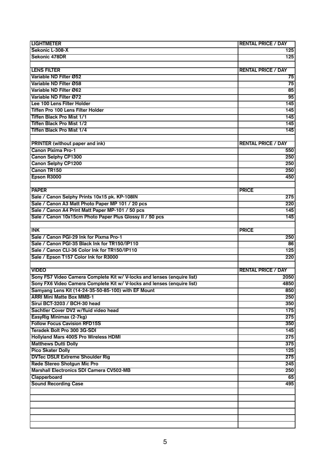| <b>LIGHTMETER</b>                                                       | <b>RENTAL PRICE / DAY</b> |
|-------------------------------------------------------------------------|---------------------------|
| Sekonic L-308-X                                                         | 125                       |
| Sekonic 478DR                                                           | 125                       |
|                                                                         |                           |
| <b>LENS FILTER</b>                                                      | <b>RENTAL PRICE / DAY</b> |
| Variable ND Filter Ø52                                                  | 75                        |
| Variable ND Filter Ø58                                                  | 75                        |
| Variable ND Filter Ø62                                                  | 85                        |
| Variable ND Filter Ø72                                                  | 95                        |
| Lee 100 Lens Filter Holder                                              | 145                       |
| Tiffen Pro 100 Lens Filter Holder                                       | 145                       |
| Tiffen Black Pro Mist 1/1                                               | 145                       |
| <b>Tiffen Black Pro Mist 1/2</b>                                        | 145                       |
| <b>Tiffen Black Pro Mist 1/4</b>                                        | 145                       |
|                                                                         |                           |
| <b>PRINTER</b> (without paper and ink)                                  | <b>RENTAL PRICE / DAY</b> |
| <b>Canon Pixima Pro-1</b>                                               | 550                       |
| Canon Selphy CP1300                                                     | 250                       |
| <b>Canon Selphy CP1200</b>                                              | 250                       |
| Canon TR150                                                             | 250                       |
| Epson R3000                                                             | 450                       |
|                                                                         |                           |
| <b>PAPER</b>                                                            | <b>PRICE</b>              |
| Sale / Canon Selphy Prints 10x15 pk. KP-108IN                           | 275                       |
| Sale / Canon A3 Matt Photo Paper MP 101 / 20 pcs                        | 220                       |
| Sale / Canon A4 Print Matt Paper MP-101 / 50 pcs                        | 145                       |
| Sale / Canon 10x15cm Photo Paper Plus Glossy II / 50 pcs                | 145                       |
|                                                                         |                           |
| <b>INK</b>                                                              | <b>PRICE</b>              |
|                                                                         |                           |
| Sale / Canon PGI-29 Ink for Pixma Pro-1                                 | 250                       |
| Sale / Canon PGI-35 Black Ink for TR150/IP110                           | 86                        |
| Sale / Canon CLI-36 Color Ink for TR150/IP110                           | $\overline{125}$          |
| Sale / Epson T157 Color Ink for R3000                                   | 220                       |
| <b>VIDEO</b>                                                            |                           |
|                                                                         | <b>RENTAL PRICE / DAY</b> |
| Sony FS7 Video Camera Complete Kit w/ V-locks and lenses (enquire list) | 2050                      |
| Sony FX6 Video Camera Complete Kit w/ V-locks and lenses (enquire list) | 4850                      |
| Samyang Lens Kit (14-24-35-50-85-100) with EF Mount                     | 850                       |
| <b>ARRI Mini Matte Box MMB-1</b>                                        | 250                       |
| Sirui BCT-3203 / BCH-30 head                                            | 350                       |
| Sachtler Cover DV2 w/fluid video head                                   | 175                       |
| EasyRig Minimax (2-7kg)                                                 | 275                       |
| <b>Follow Focus Cavision RFD15S</b>                                     | 350                       |
| Teradek Bolt Pro 300 3G-SDI                                             | $\overline{145}$          |
| <b>Hollyland Mars 400S Pro Wireless HDMI</b>                            | 275                       |
| <b>Matthews Dutti Dolly</b>                                             | 375                       |
| <b>Pico Skater Dolly</b>                                                | 125                       |
| <b>DVTec DSLR Extreme Shoulder Rig</b>                                  | 275                       |
| Røde Stereo Shotgun Mic Pro                                             | 245                       |
| <b>Marshall Electronics SDI Camera CV502-MB</b>                         | 250                       |
| Clapperboard                                                            | 65                        |
| <b>Sound Recording Case</b>                                             | 495                       |
|                                                                         |                           |
|                                                                         |                           |
|                                                                         |                           |
|                                                                         |                           |
|                                                                         |                           |
|                                                                         |                           |
|                                                                         |                           |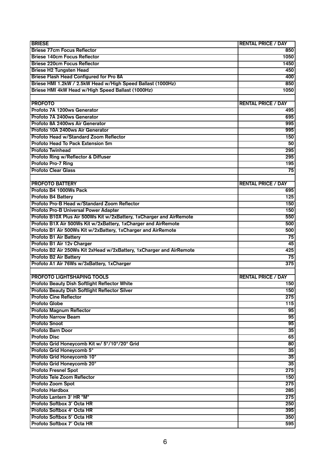| <b>BRIESE</b>                                                        | <b>RENTAL PRICE / DAY</b> |
|----------------------------------------------------------------------|---------------------------|
| <b>Briese 77cm Focus Reflector</b>                                   | 850                       |
| <b>Briese 140cm Focus Reflector</b>                                  | 1050                      |
| <b>Briese 220cm Focus Reflector</b>                                  | 1450                      |
| <b>Briese H2 Tungsten Head</b>                                       | 450                       |
| Briese Flash Head Configured for Pro 8A                              | 400                       |
| Briese HMI 1.2kW / 2.5kW Head w/High Speed Ballast (1000Hz)          | 850                       |
| Briese HMI 4kW Head w/High Speed Ballast (1000Hz)                    | 1050                      |
|                                                                      |                           |
| <b>PROFOTO</b>                                                       | <b>RENTAL PRICE / DAY</b> |
| Profoto 7A 1200ws Generator                                          | 495                       |
| Profoto 7A 2400ws Generator                                          | 695                       |
| Profoto 8A 2400ws Air Generator                                      | 995                       |
| Profoto 10A 2400ws Air Generator                                     | 995                       |
| Profoto Head w/Standard Zoom Reflector                               | 150                       |
| Profoto Head To Pack Extension 5m                                    | 50                        |
| <b>Profoto Twinhead</b>                                              | 295                       |
| Profoto Ring w/Reflector & Diffuser                                  | 295                       |
| <b>Profoto Pro-7 Ring</b>                                            | 195                       |
| <b>Profoto Clear Glass</b>                                           | 75                        |
|                                                                      |                           |
| <b>PROFOTO BATTERY</b>                                               | <b>RENTAL PRICE / DAY</b> |
| Profoto B4 1000Ws Pack                                               | 695                       |
| <b>Profoto B4 Battery</b>                                            | 125                       |
| Profoto Pro-B Head w/Standard Zoom Reflector                         | 150                       |
| <b>Profoto Pro-B Universal Power Adapter</b>                         | 150                       |
| Profoto B10X Plus Air 500Ws Kit w/2xBattery, 1xCharger and AirRemote | 550                       |
| Profoto B1X Air 500Ws Kit w/2xBattery, 1xCharger and AirRemote       | 500                       |
| Profoto B1 Air 500Ws Kit w/2xBattery, 1xCharger and AirRemote        | 500                       |
| <b>Profoto B1 Air Battery</b>                                        | 75                        |
| Profoto B1 Air 12v Charger                                           | 45                        |
| Profoto B2 Air 250Ws Kit 2xHead w/2xBattery, 1xCharger and AirRemote |                           |
| Profoto B2 Air Battery                                               | 425<br>75                 |
| Profoto A1 Air 76Ws w/3xBattery, 1xCharger                           | 375                       |
|                                                                      |                           |
| <b>PROFOTO LIGHTSHAPING TOOLS</b>                                    |                           |
| <b>Profoto Beauty Dish Softlight Reflector White</b>                 | <b>RENTAL PRICE / DAY</b> |
| Profoto Beauty Dish Softlight Reflector Silver                       | 150<br>150                |
| <b>Profoto Cine Reflector</b>                                        | 275                       |
|                                                                      |                           |
| <b>Profoto Globe</b>                                                 | 115                       |
| <b>Profoto Magnum Reflector</b>                                      | 95                        |
| <b>Profoto Narrow Beam</b>                                           | $\overline{95}$           |
| <b>Profoto Snoot</b>                                                 | 95                        |
| <b>Profoto Barn Door</b>                                             | $\overline{35}$           |
| <b>Profoto Disc</b>                                                  | 65                        |
| Profoto Grid Honeycomb Kit w/ 5°/10°/20° Grid                        | 80                        |
| Profoto Grid Honeycomb 5°                                            | $\overline{35}$           |
| Profoto Grid Honeycomb 10°                                           | $\overline{35}$           |
| Profoto Grid Honeycomb 20°                                           | $\overline{35}$           |
| <b>Profoto Fresnel Spot</b>                                          | 275                       |
| Profoto Tele Zoom Reflector                                          | 150                       |
| Profoto Zoom Spot                                                    | 275                       |
| <b>Profoto Hardbox</b>                                               | 285                       |
| Profoto Lantern 3' HR "M"                                            | 275                       |
| Profoto Softbox 3' Octa HR                                           | 250                       |
| Profoto Softbox 4' Octa HR                                           | 395                       |
| Profoto Softbox 5' Octa HR                                           | 350                       |
| Profoto Softbox 7' Octa HR                                           | 595                       |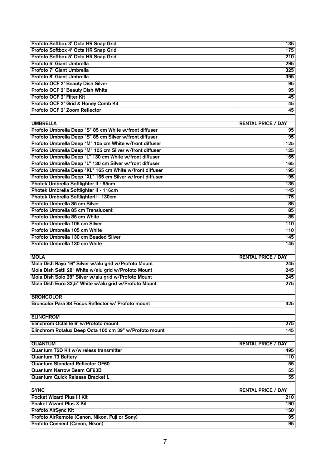| Profoto Softbox 3' Octa HR Snap Grid                      | 135                       |
|-----------------------------------------------------------|---------------------------|
| Profoto Softbox 4' Octa HR Snap Grid                      | 175                       |
| Profoto Softbox 5' Octa HR Snap Grid                      | 210                       |
| Profoto 5' Giant Umbrella                                 | 295                       |
| Profoto 7' Giant Umbrella                                 | 325                       |
| Profoto 8' Giant Umbrella                                 | 395                       |
| Profoto OCF 2' Beauty Dish Silver                         | 95                        |
| Profoto OCF 2' Beauty Dish White                          | 95                        |
| Profoto OCF 2' Filter Kit                                 | 45                        |
| Profoto OCF 2' Grid & Honey Comb Kit                      | 45                        |
| Profoto OCF 2' Zoom Reflector                             | 45                        |
|                                                           |                           |
| <b>UMBRELLA</b>                                           | <b>RENTAL PRICE / DAY</b> |
| Profoto Umbrella Deep "S" 85 cm White w/front diffuser    | 95                        |
| Profoto Umbrella Deep "S" 85 cm Silver w/front diffuser   | 95                        |
| Profoto Umbrella Deep "M" 105 cm White w/front diffuser   | 125                       |
| Profoto Umbrella Deep "M" 105 cm Silver w/front diffuser  | 125                       |
| Profoto Umbrella Deep "L" 130 cm White w/front diffuser   | 165                       |
| Profoto Umbrella Deep "L" 130 cm Silver w/front diffuser  | 165                       |
| Profoto Umbrella Deep "XL" 165 cm White w/front diffuser  | 195                       |
| Profoto Umbrella Deep "XL" 165 cm Silver w/front diffuser | 195                       |
| Photek Umbrella Softlighter II - 95cm                     | 135                       |
| Photek Umbrella Softlighter II - 116cm                    | 145                       |
| Photek Umbrella SoftlighterII - 130cm                     |                           |
| Profoto Umbrella 85 cm Silver                             | 175                       |
|                                                           | 85                        |
| Profoto Umbrella 85 cm Translucent                        | 85                        |
| Profoto Umbrella 85 cm White                              | 85                        |
| Profoto Umbrella 105 cm Silver                            | 110                       |
| Profoto Umbrella 105 cm White                             | 110                       |
| Profoto Umbrella 130 cm Beaded Silver                     | 145                       |
| Profoto Umbrella 130 cm White                             | 145                       |
|                                                           |                           |
| <b>MOLA</b>                                               | <b>RENTAL PRICE / DAY</b> |
| Mola Dish Rayo 16" Silver w/alu grid w/Profoto Mount      | 245                       |
| Mola Dish Setti 28" White w/alu grid w/Profoto Mount      | 245                       |
| Mola Dish Solo 28" Silver w/alu grid w/Profoto Mount      | 245                       |
| Mola Dish Euro 33,5" White w/alu grid w/Profoto Mount     | 275                       |
|                                                           |                           |
| <b>BRONCOLOR</b>                                          |                           |
| Broncolor Para 88 Focus Reflector w/ Profoto mount        | 425                       |
|                                                           |                           |
| <b>ELINCHROM</b>                                          |                           |
| Elinchrom Octalite 6' w/Profoto mount                     | 275                       |
| Elinchrom Rotalux Deep Octa 100 cm 39" w/Profoto mount    | 145                       |
|                                                           |                           |
| <b>QUANTUM</b>                                            | <b>RENTAL PRICE / DAY</b> |
| Quantum T5D Kit w/wireless transmitter                    | 495                       |
| <b>Quantum T3 Battery</b>                                 | 110                       |
| <b>Quantum Standard Reflector QF60</b>                    | 55                        |
| <b>Quantum Narrow Beam QF63B</b>                          | 55                        |
| Quantum Quick Release Bracket L                           | 55                        |
|                                                           |                           |
| <b>SYNC</b>                                               | <b>RENTAL PRICE / DAY</b> |
| <b>Pocket Wizard Plus III Kit</b>                         | 210                       |
| <b>Pocket Wizard Plus X Kit</b>                           | 190                       |
| Profoto AirSync Kit                                       | 150                       |
| Profoto AirRemote (Canon, Nikon, Fuji or Sony)            | 95                        |
| Profoto Connect (Canon, Nikon)                            | 95                        |
|                                                           |                           |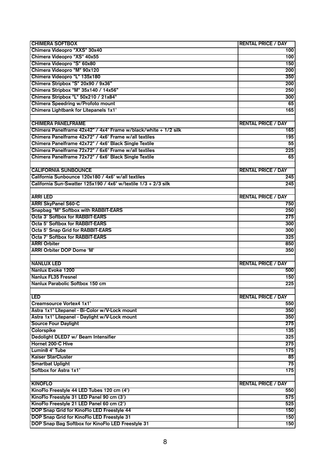| <b>CHIMERA SOFTBOX</b>                                          | <b>RENTAL PRICE / DAY</b> |
|-----------------------------------------------------------------|---------------------------|
| Chimera Videopro "XXS" 30x40                                    | 100                       |
| Chimera Videopro "XS" 40x55                                     | 100                       |
| Chimera Videopro "S" 60x80                                      | 150                       |
| Chimera Videopro "M" 90x120                                     | 200                       |
| Chimera Videopro "L" 135x180                                    | 350                       |
| Chimera Stripbox "S" 20x90 / 9x36"                              | 200                       |
| Chimera Stripbox "M" 35x140 / 14x56"                            | 250                       |
| Chimera Stripbox "L" 50x210 / 21x84"                            | 300                       |
| Chimera Speedring w/Profoto mount                               | 65                        |
| Chimera Lightbank for Litepanels 1x1'                           | 165                       |
|                                                                 |                           |
| <b>CHIMERA PANELFRAME</b>                                       | <b>RENTAL PRICE / DAY</b> |
| Chimera Panelframe 42x42" / 4x4' Frame w/black/white + 1/2 silk | 165                       |
| Chimera Panelframe 42x72" / 4x6' Frame w/all textiles           | 195                       |
| Chimera Panelframe 42x72" / 4x6' Black Single Textile           | 55                        |
| Chimera Panelframe 72x72" / 6x6' Frame w/all textiles           | 225                       |
| Chimera Panelframe 72x72" / 6x6' Black Single Textile           | 65                        |
|                                                                 |                           |
| <b>CALIFORNIA SUNBOUNCE</b>                                     | <b>RENTAL PRICE / DAY</b> |
| California Sunbounce 120x180 / 4x6' w/all textiles              | 245                       |
| California Sun-Swatter 125x190 / 4x6' w/textile 1/3 + 2/3 silk  | 245                       |
|                                                                 |                           |
| <b>ARRI LED</b>                                                 | <b>RENTAL PRICE / DAY</b> |
| <b>ARRI SkyPanel S60-C</b>                                      | 750                       |
| Snapbag "M" Softbox with RABBIT-EARS                            | 250                       |
| <b>Octa 3' Softbox for RABBIT-EARS</b>                          | 275                       |
| <b>Octa 5' Softbox for RABBIT-EARS</b>                          | 300                       |
| Octa 5' Snap Grid for RABBIT-EARS                               | 300                       |
| <b>Octa 7' Softbox for RABBIT-EARS</b>                          | 325                       |
| <b>ARRI Orbiter</b>                                             | 850                       |
| <b>ARRI Orbiter DOP Dome 'M'</b>                                | 350                       |
|                                                                 |                           |
| <b>NANLUX LED</b>                                               | <b>RENTAL PRICE / DAY</b> |
| Nanlux Evoke 1200                                               | 500                       |
| <b>Nanlux FL35 Fresnel</b>                                      | 150                       |
| Nanlux Parabolic Softbox 150 cm                                 | 225                       |
|                                                                 |                           |
| <b>LED</b>                                                      | <b>RENTAL PRICE / DAY</b> |
| Creamsource Vortex4 1x1'                                        | 550                       |
| Astra 1x1' Litepanel - Bi-Color w/V-Lock mount                  | 350                       |
| Astra 1x1' Litepanel - Daylight w/V-Lock mount                  | 350                       |
| <b>Source Four Daylight</b>                                     | 275                       |
| <b>Colorspike</b>                                               | 135                       |
| Dedolight DLED7 w/ Beam Intensifier                             | 325                       |
| <b>Hornet 200-C Hive</b>                                        | 275                       |
| Lumin8 4' Tube                                                  | 175                       |
| <b>Kaiser StarCluster</b>                                       | 85                        |
| <b>Smartbat Uplight</b>                                         | 75                        |
| Softbox for Astra 1x1'                                          | 175                       |
|                                                                 |                           |
| <b>KINOFLO</b>                                                  | <b>RENTAL PRICE / DAY</b> |
| KinoFlo Freestyle 44 LED Tubes 120 cm (4')                      | 550                       |
| KinoFlo Freestyle 31 LED Panel 90 cm (3')                       | 575                       |
| KinoFlo Freestyle 21 LED Panel 60 cm (2')                       | 525                       |
| DOP Snap Grid for KinoFlo LED Freestyle 44                      | 150                       |
| DOP Snap Grid for KinoFlo LED Freestyle 31                      | 150                       |
| DOP Snap Bag Softbox for KinoFlo LED Freestyle 31               | 150                       |
|                                                                 |                           |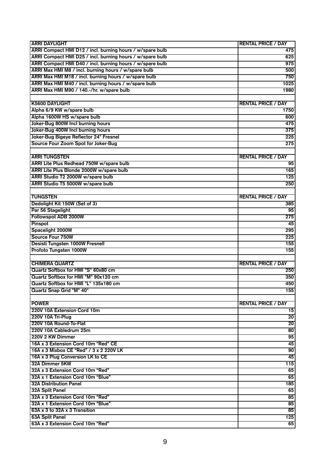| <b>ARRI DAYLIGHT</b>                                      | <b>RENTAL PRICE / DAY</b> |
|-----------------------------------------------------------|---------------------------|
| ARRI Compact HMI D12 / incl. burning hours / w/spare bulb | 475                       |
| ARRI Compact HMI D25 / incl. burning hours / w/spare bulb | 625                       |
| ARRI Compact HMI D40 / incl. burning hours / w/spare bulb | 975                       |
| ARRI Max HMI M8 / incl. burning hours / w/spare bulb      | 500                       |
| ARRI Max HMI M18 / incl. burning hours / w/spare bulb     | 750                       |
| ARRI Max HMI M40 / incl. burning hours / w/spare bulb     | 1025                      |
| ARRI Max HMI M90 / 140.-/hr. w/spare bulb                 | 1980                      |
|                                                           |                           |
| <b>K5600 DAYLIGHT</b>                                     | <b>RENTAL PRICE / DAY</b> |
| Alpha 6/9 KW w/spare bulb                                 | 1750                      |
| Alpha 1600W HS w/spare bulb                               | 600                       |
| Joker-Bug 800W Incl burning hours                         | 475                       |
| Joker-Bug 400W Incl burning hours                         | 375                       |
| Joker-Bug Bigeye Reflector 24" Fresnel                    | 225                       |
| Source Four Zoom Spot for Joker-Bug                       | 275                       |
|                                                           |                           |
| <b>ARRI TUNGSTEN</b>                                      | <b>RENTAL PRICE / DAY</b> |
| ARRI Lite Plus Redhead 750W w/spare bulb                  | 95                        |
| ARRI Lite Plus Blonde 2000W w/spare bulb                  | 165                       |
| ARRI Studio T2 2000W w/spare bulb                         | 125                       |
| ARRI Studio T5 5000W w/spare bulb                         | 250                       |
|                                                           |                           |
| <b>TUNGSTEN</b>                                           | <b>RENTAL PRICE / DAY</b> |
| Dedolight Kit 150W (Set of 3)                             | 385                       |
| Par 56 Stagelight                                         | 95                        |
| Followspot ADB 2000W                                      | 275                       |
| Pinspot                                                   | 45                        |
| Spacelight 2000W                                          | 295                       |
| Source Four 750W                                          | 225                       |
| Desisti Tungsten 1000W Fresnell                           | 155                       |
| Profoto Tungsten 1000W                                    | 155                       |
|                                                           |                           |
| <b>CHIMERA QUARTZ</b>                                     | <b>RENTAL PRICE / DAY</b> |
| Quartz Softbox for HMI "S" 60x80 cm                       | 250                       |
| Quartz Softbox for HMI "M" 90x120 cm                      | 350                       |
| Quartz Softbox for HMI "L" 135x180 cm                     | 450                       |
| Quartz Snap Grid "M" 40°                                  | 155                       |
|                                                           |                           |
| <b>POWER</b>                                              | <b>RENTAL PRICE / DAY</b> |
| 220V 10A Extension Cord 10m                               | 15                        |
| 220V 10A Tri-Plug                                         | $\overline{20}$           |
| 220V 10A Round-To-Flat                                    | $\overline{20}$           |
| 220V 10A Cabledrum 25m                                    | 80                        |
| 220V 2 KW Dimmer                                          | 95                        |
| 16A x 3 Extension Cord 10m "Red" CE                       | 45                        |
| 16A x 3 Mixbox CE "Red" / 3 x 2 220V LK                   | $\overline{90}$           |
| 16A x 3 Plug Conversion LK to CE                          | 45                        |
| 32A Dimmer 5KW                                            | 115                       |
| 32A x 3 Extension Cord 10m "Red"                          | 65                        |
| 32A x 1 Extension Cord 10m "Blue"                         | 65                        |
| <b>32A Distribution Panel</b>                             | 185                       |
| 32A Split Panel                                           | 65                        |
| 32A x 3 Extension Cord 10m "Red"                          | 85                        |
| 32A x 1 Extension Cord 10m "Blue"                         | 85                        |
| 63A x 3 to 32A x 3 Transition                             | 85                        |
| <b>63A Split Panel</b>                                    | 125                       |
| 63A x 3 Extension Cord 10m "Red"                          | 65                        |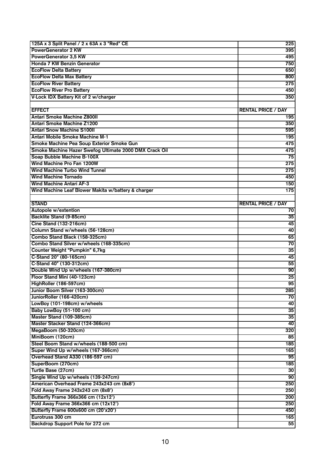| 125A x 3 Split Panel / 2 x 63A x 3 "Red" CE            | 225                       |
|--------------------------------------------------------|---------------------------|
| <b>PowerGenerator 2 KW</b>                             | 395                       |
| <b>PowerGenerator 3,5 KW</b>                           | 495                       |
| Honda 7 KW Benzin Generator                            | 750                       |
| <b>EcoFlow Delta Battery</b>                           | 650                       |
| <b>EcoFlow Delta Max Battery</b>                       | 800                       |
| <b>EcoFlow River Battery</b>                           | 275                       |
| <b>EcoFlow River Pro Battery</b>                       | 450                       |
| V-Lock IDX Battery Kit of 2 w/charger                  | 350                       |
|                                                        |                           |
| <b>EFFECT</b>                                          | <b>RENTAL PRICE / DAY</b> |
| <b>Antari Smoke Machine Z800II</b>                     | 195                       |
| <b>Antari Smoke Machine Z1200</b>                      | 350                       |
| <b>Antari Snow Machine S100II</b>                      | 595                       |
| <b>Antari Mobile Smoke Machine M-1</b>                 | 195                       |
| Smoke Machine Pea Soup Exterior Smoke Gun              | 475                       |
| Smoke Machine Hazer Swefog Ultimate 2000 DMX Crack Oil | 475                       |
| Soap Bubble Machine B-100X                             | 75                        |
| Wind Machine Pro Fan 1200W                             | 275                       |
| <b>Wind Machine Turbo Wind Tunnel</b>                  | 275                       |
| <b>Wind Machine Tornado</b>                            | 450                       |
| <b>Wind Machine Antari AF-3</b>                        | 150                       |
| Wind Machine Leaf Blower Makita w/battery & charger    | 175                       |
|                                                        |                           |
| <b>STAND</b>                                           | <b>RENTAL PRICE / DAY</b> |
| Autopole w/extention                                   | 70                        |
| Backlite Stand (9-85cm)                                | 35                        |
| <b>Cine Stand (132-216cm)</b>                          | 45                        |
| Column Stand w/wheels (56-128cm)                       | 40                        |
| Combo Stand Black (158-325cm)                          | 65                        |
| Combo Stand Silver w/wheels (168-335cm)                | 70                        |
| Counter Weight "Pumpkin" 6,7kg                         | 35                        |
| C-Stand 20" (80-165cm)                                 | 45                        |
| C-Stand 40" (130-312cm)                                | 55                        |
| Double Wind Up w/wheels (167-380cm)                    | 90                        |
| Floor Stand Mini (40-123cm)                            | $\overline{25}$           |
| HighRoller (186-597cm)                                 | 95                        |
| Junior Boom Silver (163-300cm)                         | $\overline{285}$          |
| JuniorRoller (166-420cm)                               | 70                        |
| LowBoy (101-198cm) w/wheels                            | 40                        |
| Baby LowBoy (51-100 cm)                                | 35                        |
| Master Stand (109-385cm)                               | 35                        |
| Master Stacker Stand (124-366cm)                       | 40                        |
| MegaBoom (50-320cm)                                    | 320                       |
| MiniBoom (120cm)                                       | 85                        |
| Steel Boom Stand w/wheels (188-500 cm)                 | 185                       |
| Super Wind Up w/wheels (167-366cm)                     | 165                       |
| Overhead Stand A330 (186-597 cm)                       | 95                        |
| SuperBoom (270cm)                                      | 185                       |
| Turtle Base (27cm)                                     | 30                        |
| Single Wind Up w/wheels (139-247cm)                    | 90                        |
| American Overhead Frame 243x243 cm (8x8')              | 250                       |
| Fold Away Frame 243x243 cm (8x8')                      | 250                       |
| Butterfly Frame 366x366 cm (12x12')                    | 200                       |
| Fold Away Frame 366x366 cm (12x12')                    | 250                       |
| Butterfly Frame 600x600 cm (20'x20')                   | 450                       |
| Eurotruss 300 cm                                       | 165                       |
| Backdrop Support Pole for 272 cm                       | 55                        |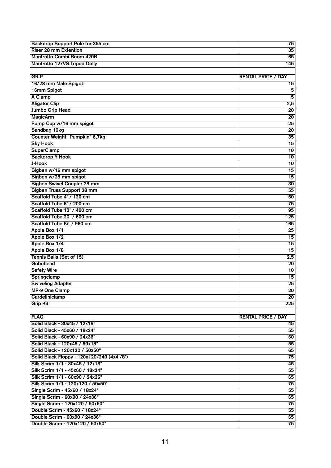| Backdrop Support Pole for 355 cm           | 75                        |
|--------------------------------------------|---------------------------|
| <b>Riser 28 mm Extention</b>               | 35                        |
| Manfrotto Combi Boom 420B                  | 65                        |
| <b>Manfrotto 127VS Tripod Dolly</b>        | 145                       |
|                                            |                           |
| GRIP                                       | <b>RENTAL PRICE / DAY</b> |
| 16/28 mm Male Spigot                       | $\overline{15}$           |
| 16mm Spigot                                | $\overline{\mathbf{5}}$   |
| A Clamp                                    | $\overline{\mathbf{5}}$   |
| <b>Aligator Clip</b>                       | 2,5                       |
| <b>Jumbo Grip Head</b>                     | 20                        |
| <b>MagicArm</b>                            | $\overline{20}$           |
| Pump Cup w/16 mm spigot                    | 25                        |
| Sandbag 10kg                               | $\overline{20}$           |
| Counter Weight "Pumpkin" 6,7kg             | 35                        |
| <b>Sky Hook</b>                            | 15                        |
| <b>SuperClamp</b>                          | $\overline{10}$           |
| <b>Backdrop Y-Hook</b>                     | $\overline{10}$           |
| J-Hook                                     | $\overline{10}$           |
| Bigben w/16 mm spigot                      | $\overline{15}$           |
| Bigben w/28 mm spigot                      | $\overline{15}$           |
| <b>Bigben Swivel Coupler 28 mm</b>         | 30                        |
| <b>Bigben Truss Support 28 mm</b>          | 55                        |
| Scaffold Tube 4' / 120 cm                  | 60                        |
| Scaffold Tube 6' / 200 cm                  | 75                        |
| Scaffold Tube 13' / 400 cm                 | 95                        |
| Scaffold Tube 20' / 600 cm                 | 125                       |
| Scaffold Tube Kit / 960 cm                 | 165                       |
| Apple Box 1/1                              | 25                        |
| Apple Box 1/2                              | 15                        |
| Apple Box 1/4                              | 15                        |
| Apple Box 1/8                              | 15                        |
| Tennis Balls (Set of 15)                   | 2,5                       |
| Gobohead                                   | 20                        |
| <b>Safety Wire</b>                         | 10                        |
| Springclamp                                | 15                        |
| <b>Swiveling Adapter</b>                   | $\overline{25}$           |
| <b>MP-9 One Clamp</b>                      | 20                        |
| Cardeliniclamp                             | $\overline{20}$           |
| <b>Grip Kit</b>                            | 225                       |
|                                            |                           |
| <b>FLAG</b>                                | <b>RENTAL PRICE / DAY</b> |
| Solid Black - 30x45 / 12x18"               | 45                        |
| Solid Black - 45x60 / 18x24"               | 55                        |
| Solid Black - 60x90 / 24x36"               | 60                        |
| Solid Black - 120x45 / 50x18"              | 55                        |
| Solid Black - 120x120 / 50x50"             | 65                        |
| Solid Black Floppy - 120x120/240 (4x4'/8') | 75                        |
| Silk Scrim 1/1 - 30x45 / 12x18"            | 45                        |
| Silk Scrim 1/1 - 45x60 / 18x24"            | 55                        |
| Silk Scrim 1/1 - 60x90 / 24x36"            | 65                        |
| Silk Scrim 1/1 - 120x120 / 50x50"          | 75                        |
| Single Scrim - 45x60 / 18x24"              | 55                        |
| Single Scrim - 60x90 / 24x36"              | 65                        |
| Single Scrim - 120x120 / 50x50"            | 75                        |
| Double Scrim - 45x60 / 18x24"              | 55                        |
| Double Scrim - 60x90 / 24x36"              | 65                        |
| Double Scrim - 120x120 / 50x50"            | 75                        |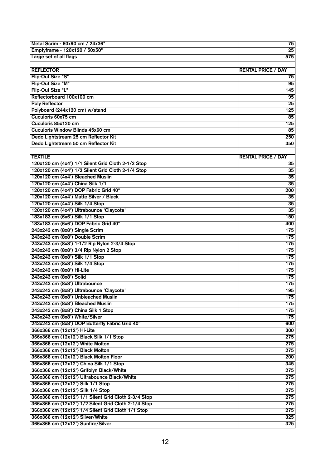| Metal Scrim - 60x90 cm / 24x36"                                                | 75                        |
|--------------------------------------------------------------------------------|---------------------------|
| Emptyframe - 120x120 / 50x50"                                                  | 25                        |
| Large set of all flags                                                         | 575                       |
|                                                                                |                           |
| <b>REFLECTOR</b>                                                               | <b>RENTAL PRICE / DAY</b> |
| Flip-Out Size "S"                                                              | 75                        |
| Flip-Out Size "M"                                                              | 95                        |
| Flip-Out Size "L"                                                              | 145                       |
| Reflectorboard 100x100 cm                                                      | 95                        |
| <b>Poly Reflector</b>                                                          | 25                        |
| Polyboard (244x120 cm) w/stand                                                 | 125                       |
| Cuculoris 60x75 cm                                                             | 85                        |
| Cuculoris 85x120 cm                                                            | 125                       |
| Cuculoris Window Blinds 45x60 cm                                               | 85                        |
| Dedo Lightstream 25 cm Reflector Kit                                           | 250                       |
| Dedo Lightstream 50 cm Reflector Kit                                           |                           |
|                                                                                | 350                       |
|                                                                                |                           |
| <b>TEXTILE</b>                                                                 | <b>RENTAL PRICE / DAY</b> |
| 120x120 cm (4x4') 1/1 Silent Grid Cloth 2-1/2 Stop                             | 35                        |
| 120x120 cm (4x4') 1/2 Silent Grid Cloth 2-1/4 Stop                             | 35                        |
| 120x120 cm (4x4') Bleached Muslin                                              | 35                        |
| 120x120 cm (4x4') China Silk 1/1                                               | 35                        |
| 120x120 cm (4x4') DOP Fabric Grid 40°                                          | 200                       |
| 120x120 cm (4x4') Matte Silver / Black                                         | 35                        |
| 120x120 cm (4x4') Silk 1/4 Stop                                                | 35                        |
| 120x120 cm (4x4') Ultrabounce 'Claycote'                                       | 35                        |
| 183x183 cm (6x6') Silk 1/1 Stop                                                | 150                       |
| 183x183 cm (6x6') DOP Fabric Grid 40°                                          | 400                       |
| 243x243 cm (8x8') Single Scrim                                                 | 175                       |
| 243x243 cm (8x8') Double Scrim                                                 | $\overline{175}$          |
| 243x243 cm (8x8') 1-1/2 Rip Nylon 2-3/4 Stop                                   | $\overline{175}$          |
| 243x243 cm (8x8') 3/4 Rip Nylon 2 Stop                                         | $\overline{175}$          |
| 243x243 cm (8x8') Silk 1/1 Stop                                                | $\overline{175}$          |
| 243x243 cm (8x8') Silk 1/4 Stop                                                | $\overline{175}$          |
| 243x243 cm (8x8') Hi-Lite                                                      | $\overline{175}$          |
| 243x243 cm (8x8') Solid                                                        | $\overline{175}$          |
| 243x243 cm (8x8') Ultrabounce                                                  | 175                       |
| 243x243 cm (8x8') Ultrabounce 'Claycote'                                       | $\overline{195}$          |
| 243x243 cm (8x8') Unbleached Muslin                                            | 175                       |
| 243x243 cm (8x8') Bleached Muslin                                              | 175                       |
| 243x243 cm (8x8') China Silk 1 Stop                                            | 175                       |
| 243x243 cm (8x8') White/Silver                                                 | 175                       |
|                                                                                |                           |
| 243x243 cm (8x8') DOP Butterfly Fabric Grid 40°<br>366x366 cm (12x12') Hi-Lite | 600                       |
|                                                                                | 300                       |
| 366x366 cm (12x12') Black Silk 1/1 Stop                                        | 275                       |
| 366x366 cm (12x12') White Molton                                               | 275                       |
| 366x366 cm (12x12') Black Molton                                               | 275                       |
| 366x366 cm (12x12') Black Molton Floor                                         | 200                       |
| 366x366 cm (12x12') China Silk 1/1 Stop                                        | 345                       |
| 366x366 cm (12x12') Grifolyn Black/White                                       | 275                       |
| 366x366 cm (12x12') Ultrabounce Black/White                                    | 275                       |
| 366x366 cm (12x12') Silk 1/1 Stop                                              | 275                       |
| 366x366 cm (12x12') Silk 1/4 Stop                                              | 275                       |
| 366x366 cm (12x12') 1/1 Silent Grid Cloth 2-3/4 Stop                           | 275                       |
| 366x366 cm (12x12') 1/2 Silent Grid Cloth 2-1/4 Stop                           | 275                       |
| 366x366 cm (12x12') 1/4 Silent Grid Cloth 1/1 Stop                             | 275                       |
| 366x366 cm (12x12') Silver/White                                               | 325                       |
| 366x366 cm (12x12') Sunfire/Silver                                             | 325                       |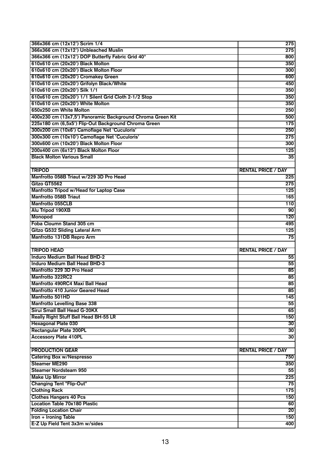| 366x366 cm (12x12') Scrim 1/4                              | 275                       |
|------------------------------------------------------------|---------------------------|
| 366x366 cm (12x12') Unbleached Muslin                      | 275                       |
| 366x366 cm (12x12') DOP Butterfly Fabric Grid 40°          | 800                       |
| 610x610 cm (20x20') Black Molton                           | 350                       |
| 610x610 cm (20x20') Black Molton Floor                     | 300                       |
| 610x610 cm (20x20') Cromakey Green                         | 600                       |
| 610x610 cm (20x20') Grifolyn Black/White                   | 450                       |
| 610x610 cm (20x20') Silk 1/1                               | 350                       |
| 610x610 cm (20x20') 1/1 Silent Grid Cloth 2-1/2 Stop       | 350                       |
| 610x610 cm (20x20') White Molton                           | 350                       |
| 650x250 cm White Molton                                    | 250                       |
| 400x230 cm (13x7,5') Panoramic Background Chroma Green Kit | 500                       |
| 225x180 cm (6,5x5') Flip-Out Background Chroma Green       | 175                       |
| 300x200 cm (10x6') Camoflage Net 'Cuculoris'               | 250                       |
| 300x300 cm (10x10') Camoflage Net 'Cuculoris'              | 275                       |
| 300x600 cm (10x20') Black Molton Floor                     |                           |
|                                                            | 300                       |
| 200x400 cm (6x12') Black Molton Floor                      | 125                       |
| <b>Black Molton Various Small</b>                          | 35                        |
|                                                            |                           |
| <b>TRIPOD</b>                                              | <b>RENTAL PRICE / DAY</b> |
| Manfrotto 058B Triaut w/229 3D Pro Head                    | 225                       |
| Gitzo GT5562                                               | 275                       |
| Manfrotto Tripod w/Head for Laptop Case                    | 125                       |
| Manfrotto 058B Triaut                                      | 165                       |
| <b>Manfrotto 055CLB</b>                                    | 110                       |
| Alu Tripod 190XB                                           | 90                        |
| Monopod                                                    | 120                       |
| Foba Cloumn Stand 305 cm                                   | 495                       |
|                                                            |                           |
| <b>Gitzo G532 Sliding Lateral Arm</b>                      | 125                       |
| Manfrotto 131DB Repro Arm                                  | $\overline{75}$           |
|                                                            |                           |
| <b>TRIPOD HEAD</b>                                         | <b>RENTAL PRICE / DAY</b> |
| <b>Induro Medium Ball Head BHD-2</b>                       | 55                        |
| <b>Induro Medium Ball Head BHD-3</b>                       | 55                        |
| Manfrotto 229 3D Pro Head                                  | 85                        |
| Manfrotto 322RC2                                           | 85                        |
| Manfrotto 490RC4 Maxi Ball Head                            | 85                        |
| Manfrotto 410 Junior Geared Head                           | $\overline{85}$           |
| Manfrotto 501HD                                            | 145                       |
| <b>Manfrotto Levelling Base 338</b>                        | 55                        |
| Sirui Small Ball Head G-20KX                               | 65                        |
| Really Right Stuff Ball Head BH-55 LR                      | 150                       |
| Hexagonal Plate 030                                        | 30                        |
| Rectangular Plate 200PL                                    | 30                        |
| <b>Accessory Plate 410PL</b>                               | 30                        |
|                                                            |                           |
| <b>PRODUCTION GEAR</b>                                     | <b>RENTAL PRICE / DAY</b> |
| <b>Catering Box w/Nespresso</b>                            | 750                       |
| <b>Steamer ME290</b>                                       | 350                       |
| <b>Steamer Nordsteam 950</b>                               | 55                        |
| <b>Make Up Mirror</b>                                      | 225                       |
| <b>Changing Tent "Flip-Out"</b>                            | 75                        |
| <b>Clothing Rack</b>                                       | 175                       |
| <b>Clothes Hangers 40 Pcs</b>                              | 150                       |
| <b>Location Table 70x180 Plastic</b>                       | 60                        |
| <b>Folding Location Chair</b>                              | 20                        |
| <b>Iron + Ironing Table</b>                                | 150                       |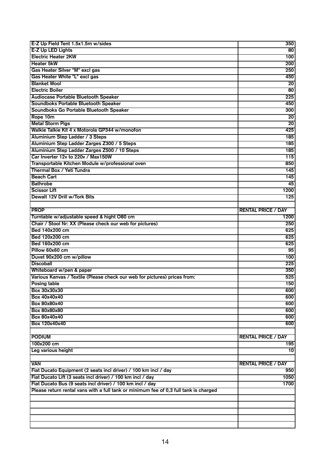| E-Z Up Field Tent 1.5x1.5m w/sides                                                                      | 350                       |
|---------------------------------------------------------------------------------------------------------|---------------------------|
| E-Z Up LED Lights                                                                                       | $\overline{80}$           |
| <b>Electric Heater 2KW</b>                                                                              | 100                       |
| <b>Heater 5kW</b>                                                                                       | 200                       |
| Gas Heater Silver "M" excl gas                                                                          | 250                       |
| Gas Heater White "L" excl gas                                                                           | 450                       |
| <b>Blanket Wool</b>                                                                                     | 20                        |
| <b>Electric Boiler</b>                                                                                  | 80                        |
| <b>Audiocase Portable Bluetooth Speaker</b>                                                             | 225                       |
|                                                                                                         |                           |
| Soundboks Portable Bluetooth Speaker                                                                    | 450                       |
| Soundboks Go Portable Bluetooth Speaker                                                                 | 300                       |
| Rope 10m                                                                                                | 20                        |
| <b>Metal Storm Pigs</b>                                                                                 | 20                        |
| Walkie Talkie Kit 4 x Motorola GP344 w/monofon                                                          | 425                       |
| Aluminium Step Ladder / 3 Steps                                                                         | 185                       |
| Aluminium Step Ladder Zarges Z300 / 5 Steps                                                             | 185                       |
| Aluminium Step Ladder Zarges Z500 / 10 Steps                                                            | 185                       |
| Car Inverter 12v to 220v / Max150W                                                                      | 115                       |
| Transportable Kitchen Module w/professional oven                                                        | 850                       |
| Thermal Box / Yeti Tundra                                                                               | 145                       |
| <b>Beach Cart</b>                                                                                       | 145                       |
| <b>Bathrobe</b>                                                                                         | 45                        |
| <b>Scissor Lift</b>                                                                                     | 1200                      |
| Dewalt 12V Drill w/Tork Bits                                                                            | 125                       |
|                                                                                                         |                           |
| <b>PROP</b>                                                                                             |                           |
|                                                                                                         | <b>RENTAL PRICE / DAY</b> |
| Turntable w/adjustable speed & hight O80 cm<br>Chair / Stool Nr: XX (Please check our web for pictures) | 1200                      |
|                                                                                                         | 250                       |
|                                                                                                         |                           |
| Bed 140x200 cm                                                                                          | 625                       |
| Bed 120x200 cm                                                                                          | 625                       |
| Bed 160x200 cm                                                                                          | 625                       |
| Pillow 60x60 cm                                                                                         | 95                        |
| Duvet 90x200 cm w/pillow                                                                                | 100                       |
| <b>Discoball</b>                                                                                        | 225                       |
| Whiteboard w/pen & paper                                                                                | 350                       |
| Various Kanvas / Textile (Please check our web for pictures) prices from:                               | 525                       |
| <b>Posing table</b>                                                                                     | 150                       |
|                                                                                                         | 600                       |
| <b>Box 40x40x40</b>                                                                                     |                           |
| Box 30x30x30                                                                                            | 600                       |
| Box 80x80x40                                                                                            | 600                       |
| Box 80x80x80                                                                                            | 600                       |
| <b>Box 80x40x40</b>                                                                                     | 600                       |
| Box 120x40x40                                                                                           | 600                       |
|                                                                                                         |                           |
| <b>PODIUM</b>                                                                                           | <b>RENTAL PRICE / DAY</b> |
| 100x200 cm                                                                                              | 195                       |
| Leg various height                                                                                      | 10                        |
|                                                                                                         |                           |
| <b>VAN</b>                                                                                              | <b>RENTAL PRICE / DAY</b> |
| Fiat Ducato Equipment (2 seats incl driver) / 100 km incl / day                                         | 950                       |
| Fiat Ducato Lift (3 seats incl driver) / 100 km incl / day                                              | 1050                      |
| Fiat Ducato Bus (9 seats incl driver) / 100 km incl / day                                               | 1700                      |
| Please return rental vans with a full tank or minimum fee of 0,3 full tank is charged                   |                           |
|                                                                                                         |                           |
|                                                                                                         |                           |
|                                                                                                         |                           |
|                                                                                                         |                           |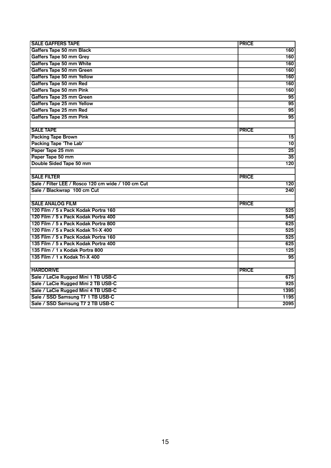| <b>SALE GAFFERS TAPE</b>                           | <b>PRICE</b>    |
|----------------------------------------------------|-----------------|
| Gaffers Tape 50 mm Black                           | 160             |
| Gaffers Tape 50 mm Grey                            | 160             |
| Gaffers Tape 50 mm White                           | 160             |
|                                                    |                 |
| Gaffers Tape 50 mm Green                           | 160             |
| Gaffers Tape 50 mm Yellow                          | 160             |
| Gaffers Tape 50 mm Red                             | 160             |
| Gaffers Tape 50 mm Pink                            | 160             |
| Gaffers Tape 25 mm Green                           | 95              |
| Gaffers Tape 25 mm Yellow                          | 95              |
| Gaffers Tape 25 mm Red                             | 95              |
| Gaffers Tape 25 mm Pink                            | 95              |
|                                                    |                 |
| <b>SALE TAPE</b>                                   | <b>PRICE</b>    |
| <b>Packing Tape Brown</b>                          | $\overline{15}$ |
| Packing Tape 'The Lab'                             | 10              |
| Paper Tape 25 mm                                   | $\overline{25}$ |
| Paper Tape 50 mm                                   | $\overline{35}$ |
| Double Sided Tape 50 mm                            | 120             |
|                                                    |                 |
| <b>SALE FILTER</b>                                 | <b>PRICE</b>    |
| Sale / Filter LEE / Rosco 120 cm wide / 100 cm Cut | 120             |
| Sale / Blackwrap 100 cm Cut                        | 240             |
|                                                    |                 |
| <b>SALE ANALOG FILM</b>                            | <b>PRICE</b>    |
| 120 Film / 5 x Pack Kodak Portra 160               | 525             |
| 120 Film / 5 x Pack Kodak Portra 400               | 545             |
| 120 Film / 5 x Pack Kodak Portra 800               | 625             |
| 120 Film / 5 x Pack Kodak Tri-X 400                | 525             |
| 135 Film / 5 x Pack Kodak Portra 160               | 525             |
| 135 Film / 5 x Pack Kodak Portra 400               | 625             |
| 135 Film / 1 x Kodak Portra 800                    | 125             |
| 135 Film / 1 x Kodak Tri-X 400                     | $\overline{95}$ |
|                                                    |                 |
| <b>HARDDRIVE</b>                                   | <b>PRICE</b>    |
| Sale / LaCie Rugged Mini 1 TB USB-C                | 675             |
| Sale / LaCie Rugged Mini 2 TB USB-C                | 925             |
| Sale / LaCie Rugged Mini 4 TB USB-C                | 1395            |
| Sale / SSD Samsung T7 1 TB USB-C                   | 1195            |
| Sale / SSD Samsung T7 2 TB USB-C                   | 2095            |